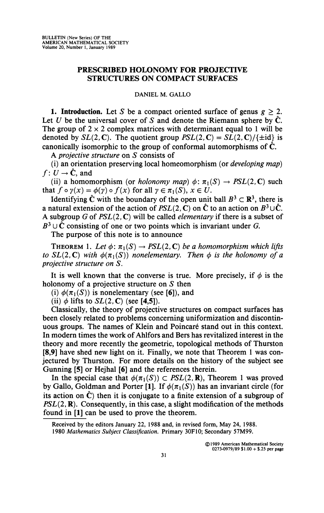## **PRESCRIBED HOLONOMY FOR PROJECTIVE STRUCTURES ON COMPACT SURFACES**

## **DANIEL M. GALLO**

**1. Introduction.** Let *S* be a compact oriented surface of genus *g >* 2. Let U be the universal cover of S and denote the Riemann sphere by  $\hat{C}$ . The group of  $2 \times 2$  complex matrices with determinant equal to 1 will be denoted by  $SL(2, \mathbb{C})$ . The quotient group  $PSL(2, \mathbb{C}) = SL(2, \mathbb{C})/\{\pm id\}$  is canonically isomorphic to the group of conformal automorphisms of  $\hat{C}$ .

A *projective structure* on *S* consists of

(i) an orientation preserving local homeomorphism (or *developing map)*   $f: U \rightarrow \hat{\mathbf{C}}$ , and

(ii) a homomorphism (or *holonomy map*)  $\phi: \pi_1(S) \to PSL(2,\mathbb{C})$  such that  $f \circ \gamma(x) = \phi(\gamma) \circ f(x)$  for all  $\gamma \in \pi_1(S), x \in U$ .

Identifying  $\hat{C}$  with the boundary of the open unit ball  $B^3 \subset \mathbb{R}^3$ , there is a natural extension of the action of  $PSL(2, \mathbb{C})$  on  $\hat{\mathbb{C}}$  to an action on  $B^3 \cup \hat{\mathbb{C}}$ . A subgroup *G* of *PSL(2, C)* will be called *elementary* if there is a subset of  $B^3 \cup \tilde{C}$  consisting of one or two points which is invariant under *G*.

The purpose of this note is to announce

THEOREM 1. Let  $\phi: \pi_1(S) \to PSL(2, \mathbb{C})$  be a homomorphism which lifts *to*  $SL(2, \mathbb{C})$  with  $\phi(\pi_1(S))$  nonelementary. Then  $\phi$  is the holonomy of a *projective structure on S.* 

It is well known that the converse is true. More precisely, if  $\phi$  is the holonomy of a projective structure on *S* then

(i)  $\phi(\pi_1(S))$  is nonelementary (see [6]), and

(ii)  $\phi$  lifts to  $SL(2, \mathbb{C})$  (see [4,5]).

Classically, the theory of projective structures on compact surfaces has been closely related to problems concerning uniformization and discontinuous groups. The names of Klein and Poincaré stand out in this context. In modern times the work of Ahlfors and Bers has revitalized interest in the theory and more recently the geometric, topological methods of Thurston **[8,9]** have shed new light on it. Finally, we note that Theorem 1 was conjectured by Thurston. For more details on the history of the subject see Gunning **[5]** or Hejhal **[6]** and the references therein.

In the special case that  $\phi(\pi_1(S)) \subset PSL(2,\mathbf{R})$ , Theorem 1 was proved by Gallo, Goldman and Porter [1]. If  $\phi(\pi_1(S))$  has an invariant circle (for its action on  $\hat{C}$ ) then it is conjugate to a finite extension of a subgroup of *PSL(2, R).* Consequently, in this case, a slight modification of the methods found in **[1]** can be used to prove the theorem.

**Received by the editors January 22, 1988 and, in revised form, May 24, 1988. 1980** *Mathematics Subject Classification.* **Primary 30F10; Secondary 57M99.**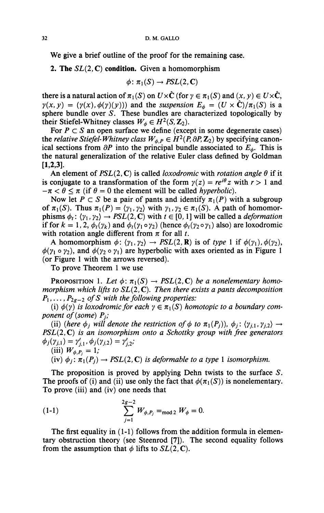**We give a brief outline of the proof for the remaining case.** 

**2. The** *SL(2,C)* **condition. Given a homomorphism** 

$$
\phi\colon \pi_1(S)\to PSL(2,\mathbb{C})
$$

**there is a natural action of**  $\pi_1(S)$  on  $U \times \hat{\mathbf{C}}$  (for  $\gamma \in \pi_1(S)$  and  $(x, y) \in U \times \hat{\mathbf{C}}$ ,  $\gamma(x, y) = (\gamma(x), \phi(\gamma)(y))$  and the *suspension*  $E_{\phi} = (U \times \hat{C})/\pi_1(S)$  is a **sphere bundle over S. These bundles are characterized topologically by their Stiefel-Whitney classes**  $W_{\phi} \in H^2(S, \mathbb{Z}_2)$ .

For  $P \subset S$  an open surface we define (except in some degenerate cases) the *relative Stiefel-Whitney class*  $W_{\phi, P} \in H^2(P, \partial P, \mathbb{Z}_2)$  by specifying canonical sections from  $\partial P$  into the principal bundle associated to  $E_{\phi}$ . This is **the natural generalization of the relative Euler class defined by Goldman [1,2,3].** 

An element of  $PSL(2, \mathbb{C})$  is called *loxodromic* with *rotation angle*  $\theta$  if it is conjugate to a transformation of the form  $\gamma(z) = re^{i\theta} z$  with  $r > 1$  and  $-\pi < \theta \le \pi$  (if  $\theta = 0$  the element will be called *hyperbolic*).

Now let  $P \subset S$  be a pair of pants and identify  $\pi_1(P)$  with a subgroup of  $\pi_1(S)$ . Thus  $\pi_1(P) = \langle \gamma_1, \gamma_2 \rangle$  with  $\gamma_1, \gamma_2 \in \pi_1(S)$ . A path of homomor**phisms**  $\phi_t$ :  $\langle \gamma_1, \gamma_2 \rangle \rightarrow PSL(2, \mathbb{C})$  with  $t \in [0, 1]$  will be called a *deformation* **if for**  $k = 1, 2, \phi_t(\gamma_k)$  and  $\phi_t(\gamma_1 \circ \gamma_2)$  (hence  $\phi_t(\gamma_2 \circ \gamma_1)$  also) are loxodromic with rotation angle different from  $\pi$  for all *t*.

**A** homomorphism  $\phi$ :  $\langle \gamma_1, \gamma_2 \rangle \rightarrow PSL(2, \mathbf{R})$  is of type 1 if  $\phi(\gamma_1), \phi(\gamma_2)$ ,  $\phi(\gamma_1 \circ \gamma_2)$ , and  $\phi(\gamma_2 \circ \gamma_1)$  are hyperbolic with axes oriented as in Figure 1 **(or Figure 1 with the arrows reversed).** 

**To prove Theorem 1 we use** 

**PROPOSITION 1.** Let  $\phi: \pi_1(S) \to PSL(2, \mathbb{C})$  be a nonelementary homo*morphism which lifts to SL{2,* C). *Then there exists a pants decomposition*   $P_1, \ldots, P_{2g-2}$  of S with the following properties:

(i)  $\phi(\gamma)$  is loxodromic for each  $\gamma \in \pi_1(S)$  homotopic to a boundary com*ponent of (some) Pj,'* 

(ii) (here  $\phi_j$  will denote the restriction of  $\phi$  to  $\pi_1(P_j)$ ),  $\phi_j: \langle \gamma_{j,1}, \gamma_{j,2} \rangle \rightarrow$ *PSL(2,C) is an isomorphism onto a Schottky group with free generators*   $\phi_j(\gamma_{j,1}) = \gamma'_{j,1}, \phi_j(\gamma_{j,2}) = \gamma'_{j,2}$ ;

(iii)  $W_{\phi, P_i} = 1$ ;

(iv)  $\phi_i$ :  $\pi_1(P_i) \rightarrow PSL(2, \mathbb{C})$  *is deformable to a type* 1 *isomorphism.* 

**The proposition is proved by applying Dehn twists to the surface** *S.*  The proofs of (i) and (ii) use only the fact that  $\phi(\pi_1(S))$  is nonelementary. **To prove (iii) and (iv) one needs that** 

(1-1) 
$$
\sum_{j=1}^{2g-2} W_{\phi, P_j} =_{\text{mod } 2} W_{\phi} = 0.
$$

**The first equality in (1-1) follows from the addition formula in elementary obstruction theory (see Steenrod [7]). The second equality follows**  from the assumption that  $\phi$  lifts to  $SL(2, \mathbb{C})$ .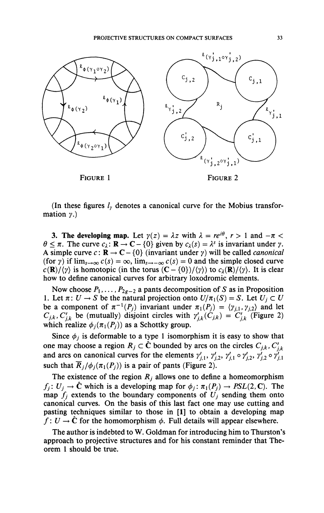

(In these figures *ly* denotes a canonical curve for the Mobius transformation *y.)* 

**3. The developing map.** Let  $\gamma(z) = \lambda z$  with  $\lambda = re^{i\theta}$ ,  $r > 1$  and  $-\pi < \lambda$  $\theta \leq \pi$ . The curve  $c_{\lambda}$ :  $\mathbf{R} \to \mathbf{C} - \{0\}$  given by  $c_{\lambda}(s) = \lambda^{s}$  is invariant under  $\gamma$ . A simple curve  $c: \mathbf{R} \to \mathbf{C} - \{0\}$  (invariant under  $\gamma$ ) will be called *canonical* (for y) if  $\lim_{s\to\infty} c(s) = \infty$ ,  $\lim_{s\to\infty} c(s) = 0$  and the simple closed curve  $c(\mathbf{R})/\langle \gamma \rangle$  is homotopic (in the torus  $(\mathbf{C} - \{0\})/\langle \gamma \rangle$ ) to  $c_{\lambda}(\mathbf{R})/\langle \gamma \rangle$ . It is clear how to define canonical curves for arbitrary loxodromic elements.

Now choose  $P_1, \ldots, P_{2g-2}$  a pants decomposition of *S* as in Proposition 1. Let  $\pi: U \to S$  be the natural projection onto  $U/\pi_1(S) = S$ . Let  $U_j \subset U$ be a component of  $\pi^{-1}(P_j)$  invariant under  $\pi_1(P_j) = \langle \gamma_{j,1}, \gamma_{j,2} \rangle$  and let  $C_{j,k}$ ,  $C'_{j,k}$  be (mutually) disjoint circles with  $\gamma'_{j,k}(C_{j,k}) = C'_{j,k}$  (Figure 2) which realize  $\phi_i(\pi_1(P_i))$  as a Schottky group.

Since  $\phi_i$  is deformable to a type 1 isomorphism it is easy to show that one may choose a region  $R_j \subset \hat{C}$  bounded by arcs on the circles  $C_{j,k}$ ,  $C'_{j,k}$ and arcs on canonical curves for the elements  $\gamma'_{j,1}$ ,  $\gamma'_{j,2}$ ,  $\gamma'_{j,1} \circ \gamma'_{j,2}$ ,  $\gamma'_{j,2} \circ \gamma'_{j,1}$ such that  $\overline{R}_j/\phi_j(\pi_1(P_j))$  is a pair of pants (Figure 2).

The existence of the region  $R_i$  allows one to define a homeomorphism  $f_j: U_j \to \hat{\mathbf{C}}$  which is a developing map for  $\phi_j: \pi_1(P_j) \to PSL(2,\mathbf{C})$ . The map  $f_j$  extends to the boundary components of  $U_j$  sending them onto canonical curves. On the basis of this last fact one may use cutting and pasting techniques similar to those in [1] to obtain a developing map  $f: U \to \hat{C}$  for the homomorphism  $\phi$ . Full details will appear elsewhere.

The author is indebted to W. Goldman for introducing him to Thurston's approach to projective structures and for his constant reminder that Theorem 1 should be true.